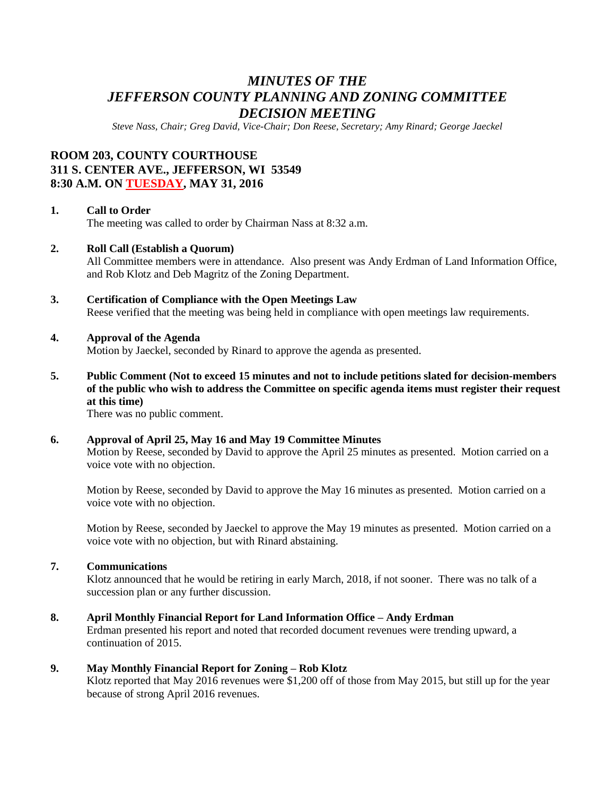## *MINUTES OF THE JEFFERSON COUNTY PLANNING AND ZONING COMMITTEE DECISION MEETING*

*Steve Nass, Chair; Greg David, Vice-Chair; Don Reese, Secretary; Amy Rinard; George Jaeckel*

### **ROOM 203, COUNTY COURTHOUSE 311 S. CENTER AVE., JEFFERSON, WI 53549 8:30 A.M. ON TUESDAY, MAY 31, 2016**

#### **1. Call to Order**

The meeting was called to order by Chairman Nass at 8:32 a.m.

#### **2. Roll Call (Establish a Quorum)**

All Committee members were in attendance. Also present was Andy Erdman of Land Information Office, and Rob Klotz and Deb Magritz of the Zoning Department.

# **3. Certification of Compliance with the Open Meetings Law**

Reese verified that the meeting was being held in compliance with open meetings law requirements.

#### **4. Approval of the Agenda**

Motion by Jaeckel, seconded by Rinard to approve the agenda as presented.

**5. Public Comment (Not to exceed 15 minutes and not to include petitions slated for decision-members of the public who wish to address the Committee on specific agenda items must register their request at this time)**

There was no public comment.

#### **6. Approval of April 25, May 16 and May 19 Committee Minutes**

Motion by Reese, seconded by David to approve the April 25 minutes as presented. Motion carried on a voice vote with no objection.

Motion by Reese, seconded by David to approve the May 16 minutes as presented. Motion carried on a voice vote with no objection.

Motion by Reese, seconded by Jaeckel to approve the May 19 minutes as presented. Motion carried on a voice vote with no objection, but with Rinard abstaining.

#### **7. Communications**

Klotz announced that he would be retiring in early March, 2018, if not sooner. There was no talk of a succession plan or any further discussion.

#### **8. April Monthly Financial Report for Land Information Office – Andy Erdman**

Erdman presented his report and noted that recorded document revenues were trending upward, a continuation of 2015.

#### **9. May Monthly Financial Report for Zoning – Rob Klotz**

Klotz reported that May 2016 revenues were \$1,200 off of those from May 2015, but still up for the year because of strong April 2016 revenues.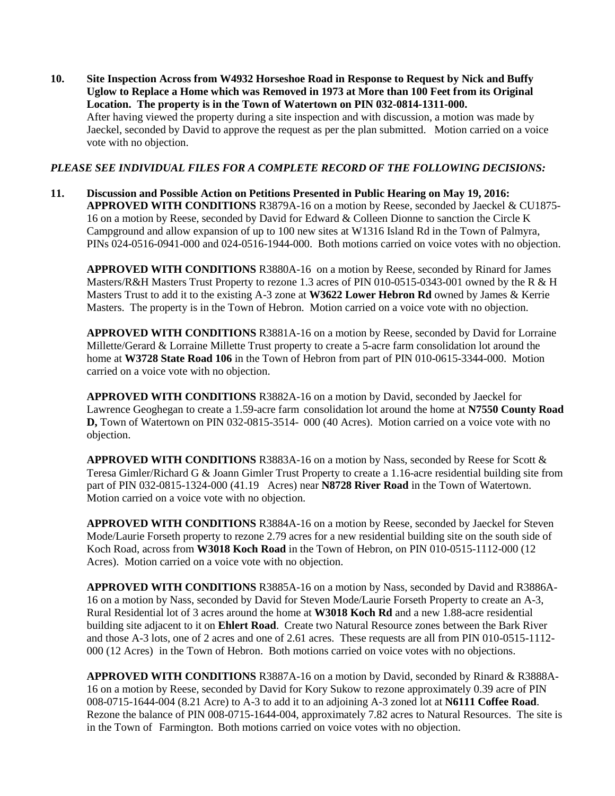**10. Site Inspection Across from W4932 Horseshoe Road in Response to Request by Nick and Buffy Uglow to Replace a Home which was Removed in 1973 at More than 100 Feet from its Original Location. The property is in the Town of Watertown on PIN 032-0814-1311-000.** After having viewed the property during a site inspection and with discussion, a motion was made by Jaeckel, seconded by David to approve the request as per the plan submitted. Motion carried on a voice vote with no objection.

#### *PLEASE SEE INDIVIDUAL FILES FOR A COMPLETE RECORD OF THE FOLLOWING DECISIONS:*

**11. Discussion and Possible Action on Petitions Presented in Public Hearing on May 19, 2016: APPROVED WITH CONDITIONS** R3879A-16 on a motion by Reese, seconded by Jaeckel & CU1875- 16 on a motion by Reese, seconded by David for Edward & Colleen Dionne to sanction the Circle K Campground and allow expansion of up to 100 new sites at W1316 Island Rd in the Town of Palmyra, PINs 024-0516-0941-000 and 024-0516-1944-000. Both motions carried on voice votes with no objection.

**APPROVED WITH CONDITIONS** R3880A-16 on a motion by Reese, seconded by Rinard for James Masters/R&H Masters Trust Property to rezone 1.3 acres of PIN 010-0515-0343-001 owned by the R & H Masters Trust to add it to the existing A-3 zone at **W3622 Lower Hebron Rd** owned by James & Kerrie Masters. The property is in the Town of Hebron. Motion carried on a voice vote with no objection.

**APPROVED WITH CONDITIONS** R3881A-16 on a motion by Reese, seconded by David for Lorraine Millette/Gerard & Lorraine Millette Trust property to create a 5-acre farm consolidation lot around the home at **W3728 State Road 106** in the Town of Hebron from part of PIN 010-0615-3344-000. Motion carried on a voice vote with no objection.

**APPROVED WITH CONDITIONS** R3882A-16 on a motion by David, seconded by Jaeckel for Lawrence Geoghegan to create a 1.59-acre farm consolidation lot around the home at **N7550 County Road D,** Town of Watertown on PIN 032-0815-3514- 000 (40 Acres). Motion carried on a voice vote with no objection.

**APPROVED WITH CONDITIONS** R3883A-16 on a motion by Nass, seconded by Reese for Scott & Teresa Gimler/Richard G & Joann Gimler Trust Property to create a 1.16-acre residential building site from part of PIN 032-0815-1324-000 (41.19 Acres) near **N8728 River Road** in the Town of Watertown. Motion carried on a voice vote with no objection.

**APPROVED WITH CONDITIONS** R3884A-16 on a motion by Reese, seconded by Jaeckel for Steven Mode/Laurie Forseth property to rezone 2.79 acres for a new residential building site on the south side of Koch Road, across from **W3018 Koch Road** in the Town of Hebron, on PIN 010-0515-1112-000 (12 Acres). Motion carried on a voice vote with no objection.

**APPROVED WITH CONDITIONS** R3885A-16 on a motion by Nass, seconded by David and R3886A-16 on a motion by Nass, seconded by David for Steven Mode/Laurie Forseth Property to create an A-3, Rural Residential lot of 3 acres around the home at **W3018 Koch Rd** and a new 1.88-acre residential building site adjacent to it on **Ehlert Road**. Create two Natural Resource zones between the Bark River and those A-3 lots, one of 2 acres and one of 2.61 acres. These requests are all from PIN 010-0515-1112- 000 (12 Acres) in the Town of Hebron. Both motions carried on voice votes with no objections.

**APPROVED WITH CONDITIONS** R3887A-16 on a motion by David, seconded by Rinard & R3888A-16 on a motion by Reese, seconded by David for Kory Sukow to rezone approximately 0.39 acre of PIN 008-0715-1644-004 (8.21 Acre) to A-3 to add it to an adjoining A-3 zoned lot at **N6111 Coffee Road**. Rezone the balance of PIN 008-0715-1644-004, approximately 7.82 acres to Natural Resources. The site is in the Town of Farmington. Both motions carried on voice votes with no objection.